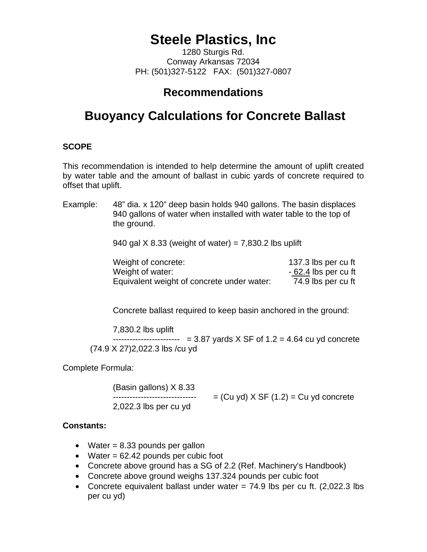# **Steele Plastics, Inc**

1280 Sturgis Rd. Conway Arkansas 72034 PH: (501)327-5122 FAX: (501)327-0807

### **Recommendations**

## **Buoyancy Calculations for Concrete Ballast**

#### **SCOPE**

This recommendation is intended to help determine the amount of uplift created by water table and the amount of ballast in cubic yards of concrete required to offset that uplift.

Example: 48" dia. x 120" deep basin holds 940 gallons. The basin displaces 940 gallons of water when installed with water table to the top of the ground.

940 gal  $X$  8.33 (weight of water) = 7,830.2 lbs uplift

| Weight of concrete:                        | 137.3 lbs per cu ft   |
|--------------------------------------------|-----------------------|
| Weight of water:                           | $-62.4$ lbs per cu ft |
| Equivalent weight of concrete under water: | 74.9 lbs per cu ft    |

Concrete ballast required to keep basin anchored in the ground:

7,830.2 lbs uplift

------------------------ = 3.87 yards X SF of 1.2 = 4.64 cu yd concrete (74.9 X 27)2,022.3 lbs /cu yd

Complete Formula:

(Basin gallons) X 8.33  $-- -- -- -- -- -- = (Cu yd) X SF (1.2) = Cu yd$  concrete 2,022.3 lbs per cu yd

#### **Constants:**

- Water  $= 8.33$  pounds per gallon
- Water  $= 62.42$  pounds per cubic foot
- Concrete above ground has a SG of 2.2 (Ref. Machinery's Handbook)
- Concrete above ground weighs 137.324 pounds per cubic foot
- Concrete equivalent ballast under water  $= 74.9$  lbs per cu ft. (2,022.3 lbs per cu yd)